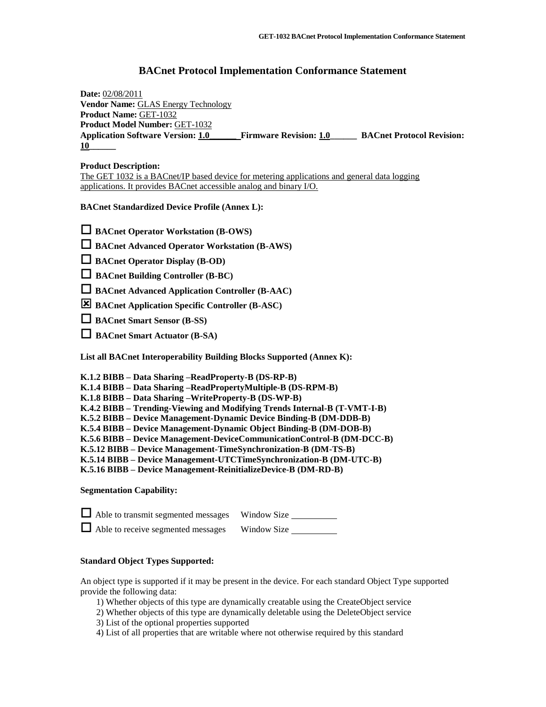# **BACnet Protocol Implementation Conformance Statement**

**Date:** 02/08/2011 **Vendor Name:** GLAS Energy Technology **Product Name:** GET-1032 **Product Model Number:** GET-1032 **Application Software Version: 1.0\_\_\_\_\_\_ Firmware Revision: 1.0\_\_\_\_\_\_ BACnet Protocol Revision: 10\_\_\_\_\_\_**

# **Product Description:**

The GET 1032 is a BACnet/IP based device for metering applications and general data logging applications. It provides BACnet accessible analog and binary I/O.

**BACnet Standardized Device Profile (Annex L):**

**BACnet Operator Workstation (B-OWS)**

**BACnet Advanced Operator Workstation (B-AWS)** 

**BACnet Operator Display (B-OD)** 

**BACnet Building Controller (B-BC)**

**BACnet Advanced Application Controller (B-AAC)**

**BACnet Application Specific Controller (B-ASC)**

**BACnet Smart Sensor (B-SS)**

**BACnet Smart Actuator (B-SA)**

**List all BACnet Interoperability Building Blocks Supported (Annex K):** 

**K.1.2 BIBB – Data Sharing –ReadProperty-B (DS-RP-B)**

**K.1.4 BIBB – Data Sharing –ReadPropertyMultiple-B (DS-RPM-B)**

**K.1.8 BIBB – Data Sharing –WriteProperty-B (DS-WP-B)**

**K.4.2 BIBB – Trending-Viewing and Modifying Trends Internal-B (T-VMT-I-B)**

**K.5.2 BIBB – Device Management-Dynamic Device Binding-B (DM-DDB-B)**

**K.5.4 BIBB – Device Management-Dynamic Object Binding-B (DM-DOB-B)**

**K.5.6 BIBB – Device Management-DeviceCommunicationControl-B (DM-DCC-B)**

**K.5.12 BIBB – Device Management-TimeSynchronization-B (DM-TS-B)**

**K.5.14 BIBB – Device Management-UTCTimeSynchronization-B (DM-UTC-B)**

**K.5.16 BIBB – Device Management-ReinitializeDevice-B (DM-RD-B)**

# **Segmentation Capability:**

| Able to transmit segmented messages Window Size |             |
|-------------------------------------------------|-------------|
| $\Box$ Able to receive segmented messages       | Window Size |

# **Standard Object Types Supported:**

An object type is supported if it may be present in the device. For each standard Object Type supported provide the following data:

1) Whether objects of this type are dynamically creatable using the CreateObject service

2) Whether objects of this type are dynamically deletable using the DeleteObject service 3) List of the optional properties supported

4) List of all properties that are writable where not otherwise required by this standard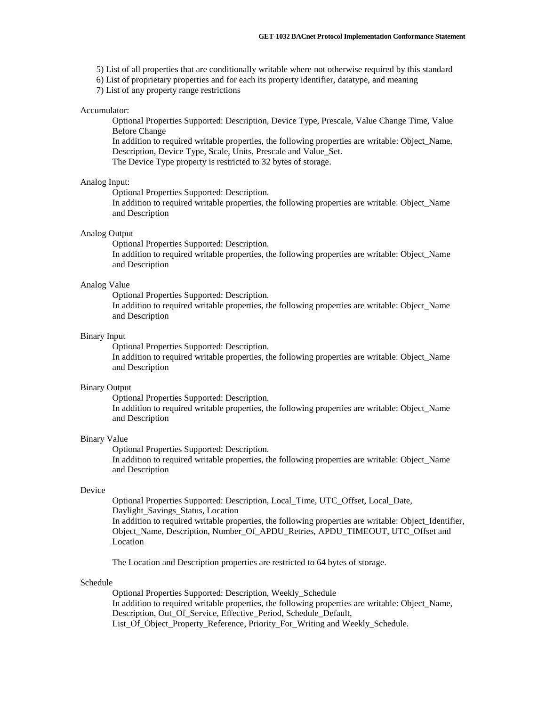- 5) List of all properties that are conditionally writable where not otherwise required by this standard
- 6) List of proprietary properties and for each its property identifier, datatype, and meaning

7) List of any property range restrictions

#### Accumulator:

Optional Properties Supported: Description, Device Type, Prescale, Value Change Time, Value Before Change

In addition to required writable properties, the following properties are writable: Object\_Name, Description, Device Type, Scale, Units, Prescale and Value\_Set.

The Device Type property is restricted to 32 bytes of storage.

#### Analog Input:

Optional Properties Supported: Description.

In addition to required writable properties, the following properties are writable: Object\_Name and Description

#### Analog Output

Optional Properties Supported: Description.

In addition to required writable properties, the following properties are writable: Object\_Name and Description

#### Analog Value

Optional Properties Supported: Description.

In addition to required writable properties, the following properties are writable: Object\_Name and Description

#### Binary Input

Optional Properties Supported: Description.

In addition to required writable properties, the following properties are writable: Object\_Name and Description

# Binary Output

Optional Properties Supported: Description.

In addition to required writable properties, the following properties are writable: Object\_Name and Description

#### Binary Value

Optional Properties Supported: Description.

In addition to required writable properties, the following properties are writable: Object\_Name and Description

### Device

Optional Properties Supported: Description, Local\_Time, UTC\_Offset, Local\_Date, Daylight\_Savings\_Status, Location

In addition to required writable properties, the following properties are writable: Object\_Identifier, Object\_Name, Description, Number\_Of\_APDU\_Retries, APDU\_TIMEOUT, UTC\_Offset and Location

The Location and Description properties are restricted to 64 bytes of storage.

#### Schedule

Optional Properties Supported: Description, Weekly\_Schedule In addition to required writable properties, the following properties are writable: Object\_Name, Description, Out Of Service, Effective Period, Schedule Default, List\_Of\_Object\_Property\_Reference, Priority\_For\_Writing and Weekly\_Schedule.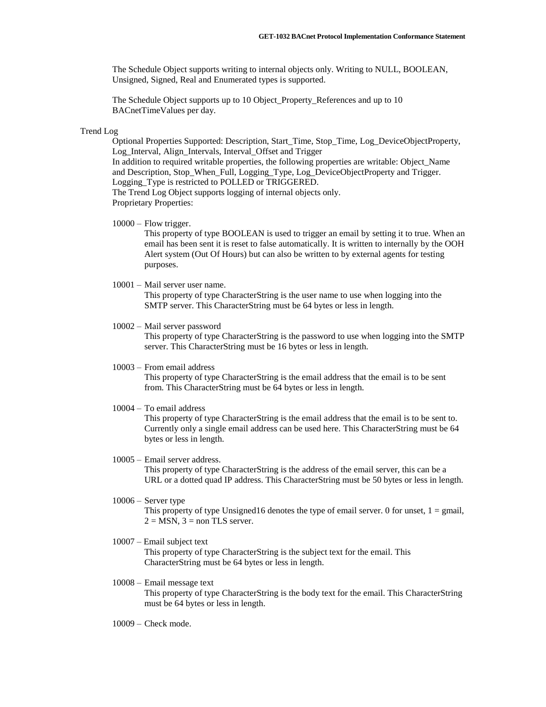The Schedule Object supports writing to internal objects only. Writing to NULL, BOOLEAN, Unsigned, Signed, Real and Enumerated types is supported.

The Schedule Object supports up to 10 Object\_Property\_References and up to 10 BACnetTimeValues per day.

#### Trend Log

Optional Properties Supported: Description, Start\_Time, Stop\_Time, Log\_DeviceObjectProperty, Log\_Interval, Align\_Intervals, Interval\_Offset and Trigger In addition to required writable properties, the following properties are writable: Object\_Name and Description, Stop\_When\_Full, Logging\_Type, Log\_DeviceObjectProperty and Trigger. Logging\_Type is restricted to POLLED or TRIGGERED. The Trend Log Object supports logging of internal objects only. Proprietary Properties:

 $10000 -$  Flow trigger.

This property of type BOOLEAN is used to trigger an email by setting it to true. When an email has been sent it is reset to false automatically. It is written to internally by the OOH Alert system (Out Of Hours) but can also be written to by external agents for testing purposes.

# 10001 – Mail server user name.

This property of type CharacterString is the user name to use when logging into the SMTP server. This CharacterString must be 64 bytes or less in length.

### 10002 – Mail server password

This property of type CharacterString is the password to use when logging into the SMTP server. This CharacterString must be 16 bytes or less in length.

10003 – From email address

This property of type CharacterString is the email address that the email is to be sent from. This CharacterString must be 64 bytes or less in length.

10004 – To email address

This property of type CharacterString is the email address that the email is to be sent to. Currently only a single email address can be used here. This CharacterString must be 64 bytes or less in length.

### 10005 – Email server address. This property of type CharacterString is the address of the email server, this can be a URL or a dotted quad IP address. This CharacterString must be 50 bytes or less in length.

- 10006 Server type This property of type Unsigned16 denotes the type of email server. 0 for unset,  $1 = \text{gmail}$ ,  $2 = MSN$ ,  $3 = non TLS$  server.
- 10007 Email subject text

This property of type CharacterString is the subject text for the email. This CharacterString must be 64 bytes or less in length.

### 10008 – Email message text This property of type CharacterString is the body text for the email. This CharacterString must be 64 bytes or less in length.

10009 – Check mode.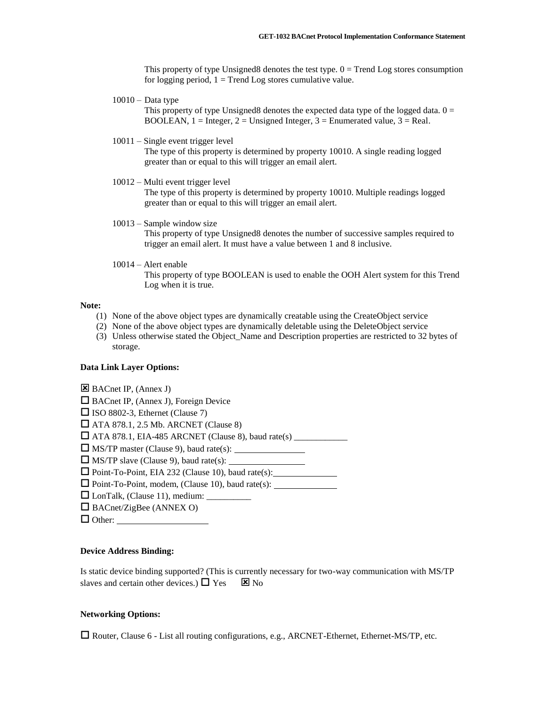This property of type Unsigned8 denotes the test type.  $0 =$  Trend Log stores consumption for logging period,  $1 =$  Trend Log stores cumulative value.

 $10010 - Data$ 

This property of type Unsigned8 denotes the expected data type of the logged data.  $0 =$ BOOLEAN,  $1 =$  Integer,  $2 =$  Unsigned Integer,  $3 =$  Enumerated value,  $3 =$  Real.

10011 – Single event trigger level

The type of this property is determined by property 10010. A single reading logged greater than or equal to this will trigger an email alert.

10012 – Multi event trigger level

The type of this property is determined by property 10010. Multiple readings logged greater than or equal to this will trigger an email alert.

- 10013 Sample window size This property of type Unsigned8 denotes the number of successive samples required to trigger an email alert. It must have a value between 1 and 8 inclusive.
- 10014 Alert enable This property of type BOOLEAN is used to enable the OOH Alert system for this Trend Log when it is true.

#### **Note:**

- (1) None of the above object types are dynamically creatable using the CreateObject service
- (2) None of the above object types are dynamically deletable using the DeleteObject service
- (3) Unless otherwise stated the Object\_Name and Description properties are restricted to 32 bytes of storage.

### **Data Link Layer Options:**

| B BACnet IP, (Annex J)                                    |  |
|-----------------------------------------------------------|--|
| $\Box$ BACnet IP, (Annex J), Foreign Device               |  |
| $\Box$ ISO 8802-3, Ethernet (Clause 7)                    |  |
| $\Box$ ATA 878.1, 2.5 Mb. ARCNET (Clause 8)               |  |
|                                                           |  |
| $\Box$ MS/TP master (Clause 9), baud rate(s):             |  |
|                                                           |  |
| $\Box$ Point-To-Point, EIA 232 (Clause 10), baud rate(s): |  |
| $\Box$ Point-To-Point, modem, (Clause 10), baud rate(s):  |  |
|                                                           |  |
| $\Box$ BACnet/ZigBee (ANNEX O)                            |  |
| $\Box$ Other:                                             |  |

# **Device Address Binding:**

Is static device binding supported? (This is currently necessary for two-way communication with MS/TP slaves and certain other devices.)  $\Box$  Yes  $\Box$  No

# **Networking Options:**

 $\Box$  Router, Clause 6 - List all routing configurations, e.g., ARCNET-Ethernet, Ethernet-MS/TP, etc.